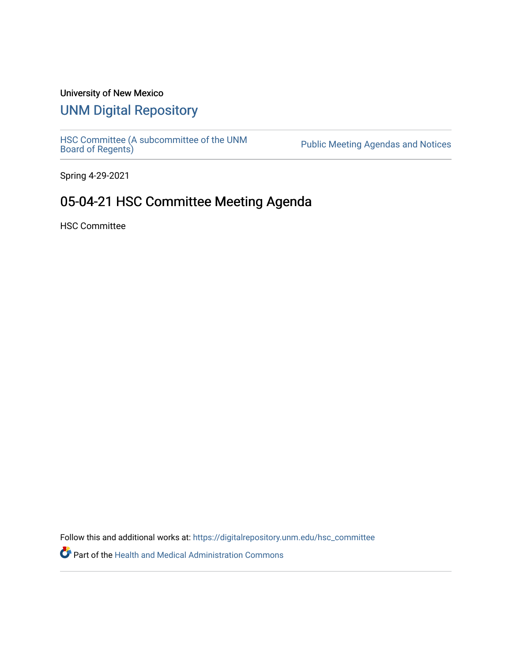## University of New Mexico

## [UNM Digital Repository](https://digitalrepository.unm.edu/)

[HSC Committee \(A subcommittee of the UNM](https://digitalrepository.unm.edu/hsc_committee) Public Meeting Agendas and Notices<br>[Board of Regents\)](https://digitalrepository.unm.edu/hsc_committee)

Spring 4-29-2021

# 05-04-21 HSC Committee Meeting Agenda

HSC Committee

Follow this and additional works at: [https://digitalrepository.unm.edu/hsc\\_committee](https://digitalrepository.unm.edu/hsc_committee?utm_source=digitalrepository.unm.edu%2Fhsc_committee%2F299&utm_medium=PDF&utm_campaign=PDFCoverPages) 

Part of the [Health and Medical Administration Commons](http://network.bepress.com/hgg/discipline/663?utm_source=digitalrepository.unm.edu%2Fhsc_committee%2F299&utm_medium=PDF&utm_campaign=PDFCoverPages)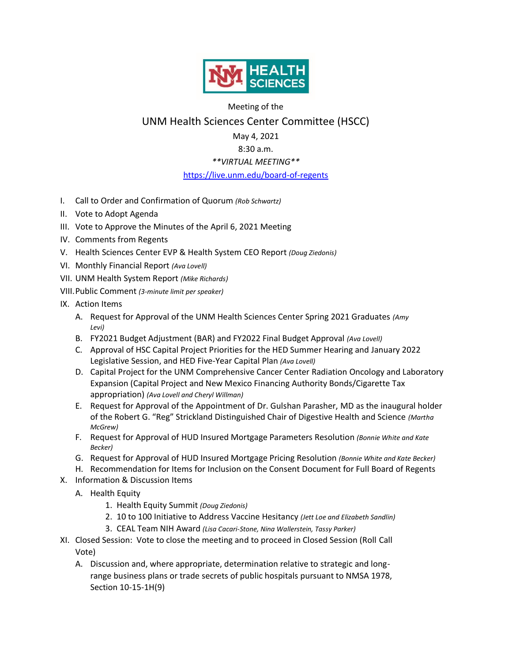

### Meeting of the UNM Health Sciences Center Committee (HSCC)

#### May 4, 2021

#### 8:30 a.m.

#### *\*\*VIRTUAL MEETING\*\**

#### <https://live.unm.edu/board-of-regents>

- I. Call to Order and Confirmation of Quorum *(Rob Schwartz)*
- II. Vote to Adopt Agenda
- III. Vote to Approve the Minutes of the April 6, 2021 Meeting
- IV. Comments from Regents
- V. Health Sciences Center EVP & Health System CEO Report *(Doug Ziedonis)*
- VI. Monthly Financial Report *(Ava Lovell)*
- VII. UNM Health System Report *(Mike Richards)*
- VIII.Public Comment *(3-minute limit per speaker)*
- IX. Action Items
	- A. Request for Approval of the UNM Health Sciences Center Spring 2021 Graduates *(Amy Levi)*
	- B. FY2021 Budget Adjustment (BAR) and FY2022 Final Budget Approval *(Ava Lovell)*
	- C. Approval of HSC Capital Project Priorities for the HED Summer Hearing and January 2022 Legislative Session, and HED Five-Year Capital Plan *(Ava Lovell)*
	- D. Capital Project for the UNM Comprehensive Cancer Center Radiation Oncology and Laboratory Expansion (Capital Project and New Mexico Financing Authority Bonds/Cigarette Tax appropriation) *(Ava Lovell and Cheryl Willman)*
	- E. Request for Approval of the Appointment of Dr. Gulshan Parasher, MD as the inaugural holder of the Robert G. "Reg" Strickland Distinguished Chair of Digestive Health and Science *(Martha McGrew)*
	- F. Request for Approval of HUD Insured Mortgage Parameters Resolution *(Bonnie White and Kate Becker)*
	- G. Request for Approval of HUD Insured Mortgage Pricing Resolution *(Bonnie White and Kate Becker)*
	- H. Recommendation for Items for Inclusion on the Consent Document for Full Board of Regents
- X. Information & Discussion Items
	- A. Health Equity
		- 1. Health Equity Summit *(Doug Ziedonis)*
		- 2. 10 to 100 Initiative to Address Vaccine Hesitancy *(Jett Loe and Elizabeth Sandlin)*
		- 3. CEAL Team NIH Award *(Lisa Cacari-Stone, Nina Wallerstein, Tassy Parker)*
- XI. Closed Session: Vote to close the meeting and to proceed in Closed Session (Roll Call Vote)
	- A. Discussion and, where appropriate, determination relative to strategic and longrange business plans or trade secrets of public hospitals pursuant to NMSA 1978, Section 10-15-1H(9)